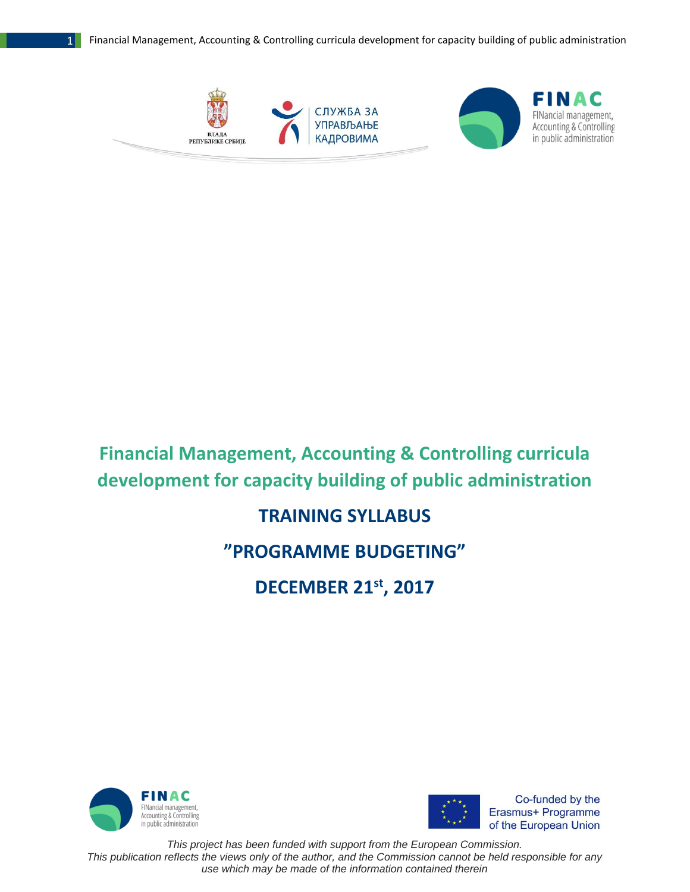

## **Financial Management, Accounting & Controlling curricula development for capacity building of public administration**

## **TRAINING SYLLABUS**

## **"PROGRAMME BUDGETING"**

**DECEMBER 21st , 2017**





Co-funded by the Erasmus+ Programme of the European Union

*This project has been funded with support from the European Commission. This publication reflects the views only of the author, and the Commission cannot be held responsible for any use which may be made of the information contained therein*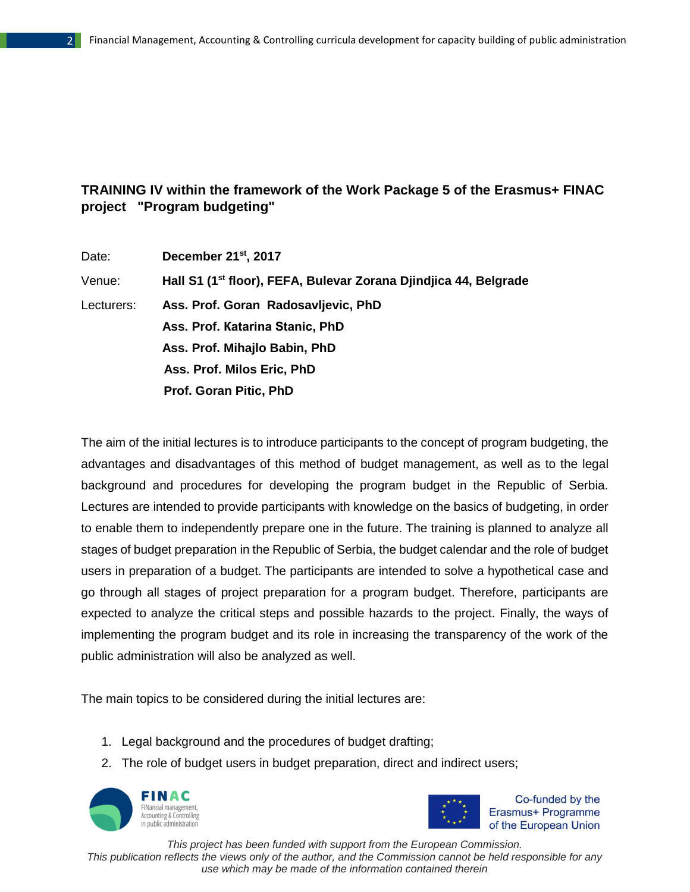## **TRAINING IV within the framework of the Work Package 5 of the Erasmus+ FINAC project "Program budgeting"**

| Date:      | December 21 <sup>st</sup> , 2017                                             |
|------------|------------------------------------------------------------------------------|
| Venue:     | Hall S1 (1 <sup>st</sup> floor), FEFA, Bulevar Zorana Djindjica 44, Belgrade |
| Lecturers: | Ass. Prof. Goran Radosavljevic, PhD                                          |
|            | Ass. Prof. Katarina Stanic, PhD                                              |
|            | Ass. Prof. Mihajlo Babin, PhD                                                |
|            | Ass. Prof. Milos Eric, PhD                                                   |
|            | Prof. Goran Pitic, PhD                                                       |

The aim of the initial lectures is to introduce participants to the concept of program budgeting, the advantages and disadvantages of this method of budget management, as well as to the legal background and procedures for developing the program budget in the Republic of Serbia. Lectures are intended to provide participants with knowledge on the basics of budgeting, in order to enable them to independently prepare one in the future. The training is planned to analyze all stages of budget preparation in the Republic of Serbia, the budget calendar and the role of budget users in preparation of a budget. The participants are intended to solve a hypothetical case and go through all stages of project preparation for a program budget. Therefore, participants are expected to analyze the critical steps and possible hazards to the project. Finally, the ways of implementing the program budget and its role in increasing the transparency of the work of the public administration will also be analyzed as well.

The main topics to be considered during the initial lectures are:

- 1. Legal background and the procedures of budget drafting;
- 2. The role of budget users in budget preparation, direct and indirect users;





Co-funded by the Erasmus+ Programme of the European Union

*This project has been funded with support from the European Commission.*

*This publication reflects the views only of the author, and the Commission cannot be held responsible for any use which may be made of the information contained therein*